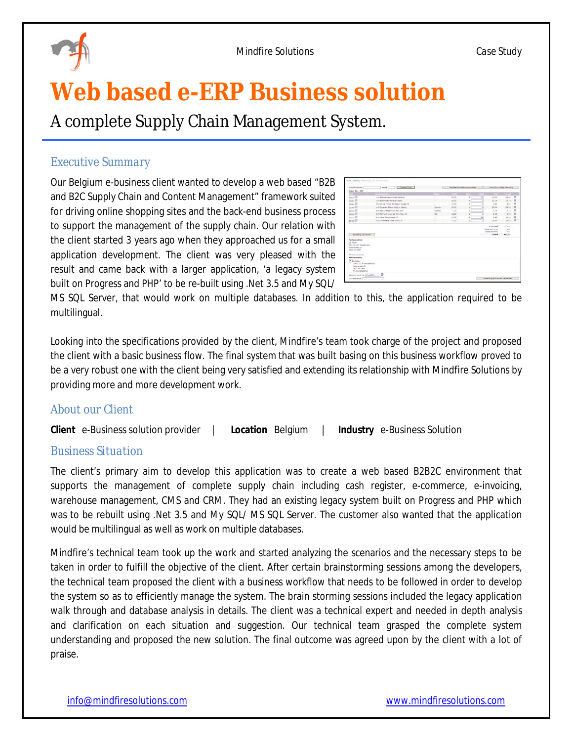

# **Web based e-ERP Business solution**

A complete Supply Chain Management System.

# *Executive Summary*

Our Belgium e-business client wanted to develop a web based "B2B and B2C Supply Chain and Content Management" framework suited for driving online shopping sites and the back-end business process to support the management of the supply chain. Our relation with the client started 3 years ago when they approached us for a small application development. The client was very pleased with the result and came back with a larger application, 'a legacy system built on Progress and PHP' to be re-built using .Net 3.5 and My SQL/

| Artikelnummer:                                                                     | Costaan/Zoek<br>Asntal                |           | Standeard bestelling aanmaken. |              |    | Verwöder huidige bestelling      |                |              |
|------------------------------------------------------------------------------------|---------------------------------------|-----------|--------------------------------|--------------|----|----------------------------------|----------------|--------------|
| Order No - 357                                                                     |                                       |           |                                |              |    |                                  |                |              |
|                                                                                    | <b>STATISTICS</b>                     |           |                                |              |    | <b>STATISTICS</b>                | Terrant        |              |
| cooss <sup>(1)</sup>                                                               | 1.00 Blankenheyrn Cude Genever        |           | 38.00                          | ×            | 12 | 10.30                            | 123.60         | n            |
| cooss III                                                                          | 1.00 Bills Outle Genever Steen        | ÷         | 35.00                          | ٠            |    | 05.19                            | 10.19          | ٠            |
| ODDA III                                                                           | 0.00 Ch.La France Bordeaux Aquise Ol- |           | 13.00                          | ×            |    | 2.54                             | 2.54           | $\mathbf{r}$ |
| 02346                                                                              | 1.00 Dulardin Blaza 6x20 d. Geach.    | $Op = Op$ | 35.00                          | $\mathbf{z}$ |    | 25.34                            | 152.04         | $\alpha$     |
| 01433                                                                              | 9.00 Spa Orange effruit Ext. 5 lbr.   | $0 + 0 +$ | 0.00                           |              |    | 7.15                             | 7.15           | $\pi$        |
| copes <sup>[1]</sup>                                                               | 0.00 Torres Sengre de Toro Aes. 03.   | 6e)       | 12.00                          | ×            |    | 6.03                             | 4.02           | $\mathbf{r}$ |
| oossa III                                                                          | 0.00 Vites Sengiovese 03              |           | 12.00                          | ×.           | z. | 3.45                             | 82.80          | $\mathbf{r}$ |
| cours (II)                                                                         | 7.00 Westmails Trinel 24x33 AL        | v.        | 0.05                           | ×            |    | 24.64                            | 24.64          | ×            |
| September providents                                                               |                                       |           |                                |              |    | Total bes 6%:<br>Totant          | 0.83<br>487.32 |              |
|                                                                                    |                                       |           |                                |              |    |                                  |                |              |
|                                                                                    |                                       |           |                                |              |    |                                  |                |              |
| <b>Fachuuradres:</b><br>On Holen<br>Ohr 2.A.L.M. Holzemans                         |                                       |           |                                |              |    |                                  |                |              |
|                                                                                    |                                       |           |                                |              |    |                                  |                |              |
|                                                                                    |                                       |           |                                |              |    |                                  |                |              |
|                                                                                    |                                       |           |                                |              |    |                                  |                |              |
|                                                                                    |                                       |           |                                |              |    |                                  |                |              |
|                                                                                    |                                       |           |                                |              |    |                                  |                |              |
| Molenstraat 18<br>2611 KA Delft<br>Fb: 015-2120716<br>Afteveradres:<br>IF De Holen |                                       |           |                                |              |    |                                  |                |              |
| Chr 3.4.L.H. Hospervane                                                            |                                       |           |                                |              |    |                                  |                |              |
| Molengraph 18                                                                      |                                       |           |                                |              |    |                                  |                |              |
| 2611 KA Delft<br>PH: 015-2130716                                                   |                                       |           |                                |              |    |                                  |                |              |
|                                                                                    | 卣                                     |           |                                |              |    |                                  |                |              |
| Leveren sp of nat (23-4-2009)<br>University [                                      |                                       |           |                                |              |    | September afgluisen en verzenden |                |              |

MS SQL Server, that would work on multiple databases. In addition to this, the application required to be multilingual.

Looking into the specifications provided by the client, Mindfire's team took charge of the project and proposed the client with a basic business flow. The final system that was built basing on this business workflow proved to be a very robust one with the client being very satisfied and extending its relationship with Mindfire Solutions by providing more and more development work.

# *About our Client*

**Client** e-Business solution provider | **Location** Belgium | **Industry** e-Business Solution

#### *Business Situation*

The client's primary aim to develop this application was to create a web based B2B2C environment that supports the management of complete supply chain including cash register, e-commerce, e-invoicing, warehouse management, CMS and CRM. They had an existing legacy system built on Progress and PHP which was to be rebuilt using .Net 3.5 and My SQL/ MS SQL Server. The customer also wanted that the application would be multilingual as well as work on multiple databases.

Mindfire's technical team took up the work and started analyzing the scenarios and the necessary steps to be taken in order to fulfill the objective of the client. After certain brainstorming sessions among the developers, the technical team proposed the client with a business workflow that needs to be followed in order to develop the system so as to efficiently manage the system. The brain storming sessions included the legacy application walk through and database analysis in details. The client was a technical expert and needed in depth analysis and clarification on each situation and suggestion. Our technical team grasped the complete system understanding and proposed the new solution. The final outcome was agreed upon by the client with a lot of praise.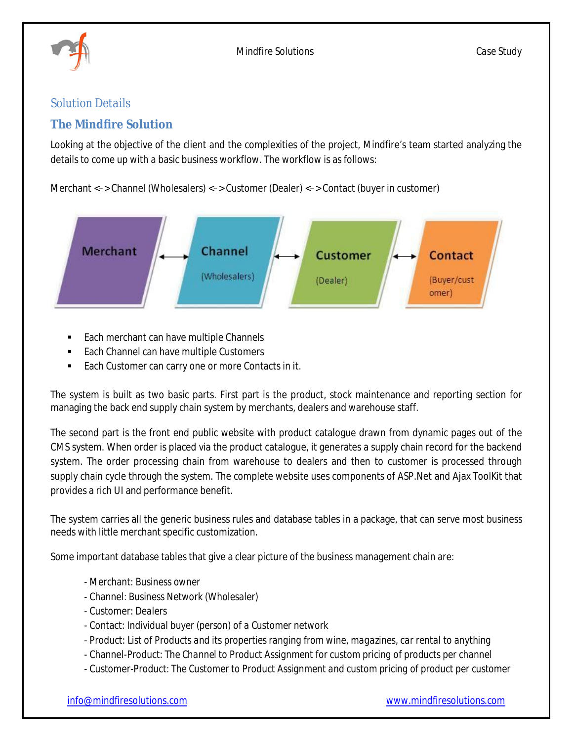

Mindfire Solutions *Case Study*

# *Solution Details*

# **The Mindfire Solution**

Looking at the objective of the client and the complexities of the project, Mindfire's team started analyzing the details to come up with a basic business workflow. The workflow is as follows:

Merchant <–> Channel (Wholesalers) <–> Customer (Dealer) <–> Contact (buyer in customer)



- Each merchant can have multiple Channels
- Each Channel can have multiple Customers
- **Each Customer can carry one or more Contacts in it.**

The system is built as two basic parts. First part is the product, stock maintenance and reporting section for managing the back end supply chain system by merchants, dealers and warehouse staff.

The second part is the front end public website with product catalogue drawn from dynamic pages out of the CMS system. When order is placed via the product catalogue, it generates a supply chain record for the backend system. The order processing chain from warehouse to dealers and then to customer is processed through supply chain cycle through the system. The complete website uses components of ASP.Net and Ajax ToolKit that provides a rich UI and performance benefit.

The system carries all the generic business rules and database tables in a package, that can serve most business needs with little merchant specific customization.

Some important database tables that give a clear picture of the business management chain are:

- Merchant: *Business owner*
- Channel: *Business Network (Wholesaler)*
- Customer: *Dealers*
- Contact: *Individual buyer (person) of a Customer network*
- Product: *List of Products and its properties ranging from wine, magazines, car rental to anything*
- Channel-Product: *The Channel to Product Assignment for custom pricing of products per channel*
- Customer-Product: *The Customer to Product Assignment and custom pricing of product per customer*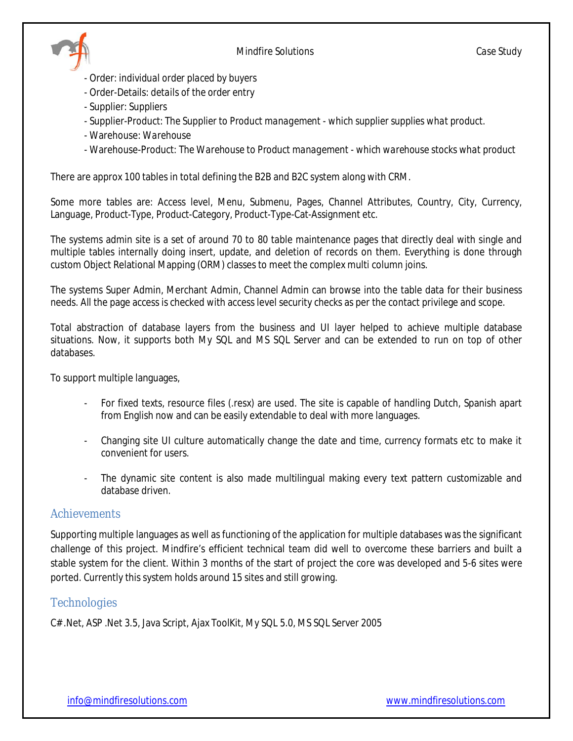

- Order: *individual order placed by buyers*
- Order-Details: *details of the order entry*
- Supplier: *Suppliers*
- Supplier-Product: *The Supplier to Product management - which supplier supplies what product.*
- Warehouse: *Warehouse*
- Warehouse-Product: *The Warehouse to Product management - which warehouse stocks what product*

There are approx 100 tables in total defining the B2B and B2C system along with CRM.

Some more tables are: Access level, Menu, Submenu, Pages, Channel Attributes, Country, City, Currency, Language, Product-Type, Product-Category, Product-Type-Cat-Assignment etc.

The systems admin site is a set of around 70 to 80 table maintenance pages that directly deal with single and multiple tables internally doing insert, update, and deletion of records on them. Everything is done through custom Object Relational Mapping (ORM) classes to meet the complex multi column joins.

The systems Super Admin, Merchant Admin, Channel Admin can browse into the table data for their business needs. All the page access is checked with access level security checks as per the contact privilege and scope.

Total abstraction of database layers from the business and UI layer helped to achieve multiple database situations. Now, it supports both My SQL and MS SQL Server and can be extended to run on top of other databases.

To support multiple languages,

- For fixed texts, resource files (.resx) are used. The site is capable of handling Dutch, Spanish apart from English now and can be easily extendable to deal with more languages.
- Changing site UI culture automatically change the date and time, currency formats etc to make it convenient for users.
- The dynamic site content is also made multilingual making every text pattern customizable and database driven.

# *Achievements*

Supporting multiple languages as well as functioning of the application for multiple databases was the significant challenge of this project. Mindfire's efficient technical team did well to overcome these barriers and built a stable system for the client. Within 3 months of the start of project the core was developed and 5-6 sites were ported. Currently this system holds around 15 sites and still growing.

# *Technologies*

C# .Net, ASP .Net 3.5, Java Script, Ajax ToolKit, My SQL 5.0, MS SQL Server 2005